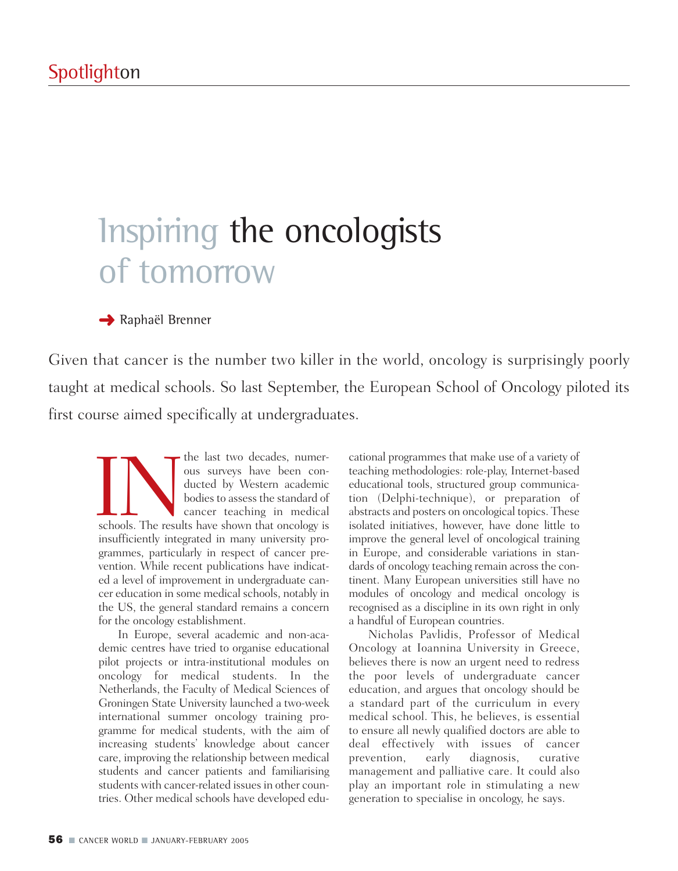# Inspiring the oncologists of tomorrow

### **→** Raphaël Brenner

Given that cancer is the number two killer in the world, oncology is surprisingly poorly taught at medical schools. So last September, the European School of Oncology piloted its first course aimed specifically at undergraduates.

The last two decades, numer-<br>ous surveys have been con-<br>ducted by Western academic<br>bodies to assess the standard of<br>cancer teaching in medical<br>schools. The results have shown that oncology is ous surveys have been conducted by Western academic bodies to assess the standard of cancer teaching in medical schools. The results have shown that oncology is insufficiently integrated in many university programmes, particularly in respect of cancer prevention. While recent publications have indicated a level of improvement in undergraduate cancer education in some medical schools, notably in the US, the general standard remains a concern for the oncology establishment.

In Europe, several academic and non-academic centres have tried to organise educational pilot projects or intra-institutional modules on oncology for medical students. In the Netherlands, the Faculty of Medical Sciences of Groningen State University launched a two-week international summer oncology training programme for medical students, with the aim of increasing students' knowledge about cancer care, improving the relationship between medical students and cancer patients and familiarising students with cancer-related issues in other countries. Other medical schools have developed educational programmes that make use of a variety of teaching methodologies: role-play, Internet-based educational tools, structured group communication (Delphi-technique), or preparation of abstracts and posters on oncological topics. These isolated initiatives, however, have done little to improve the general level of oncological training in Europe, and considerable variations in standards of oncology teaching remain across the continent. Many European universities still have no modules of oncology and medical oncology is recognised as a discipline in its own right in only a handful of European countries.

Nicholas Pavlidis, Professor of Medical Oncology at Ioannina University in Greece, believes there is now an urgent need to redress the poor levels of undergraduate cancer education, and argues that oncology should be a standard part of the curriculum in every medical school. This, he believes, is essential to ensure all newly qualified doctors are able to deal effectively with issues of cancer prevention, early diagnosis, curative management and palliative care. It could also play an important role in stimulating a new generation to specialise in oncology, he says.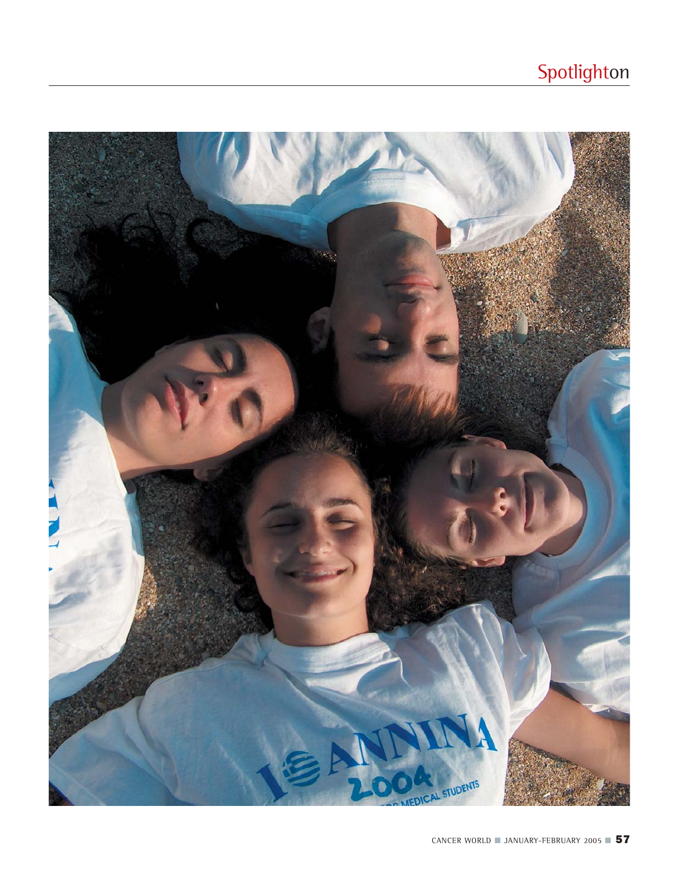### **Spotlighton**